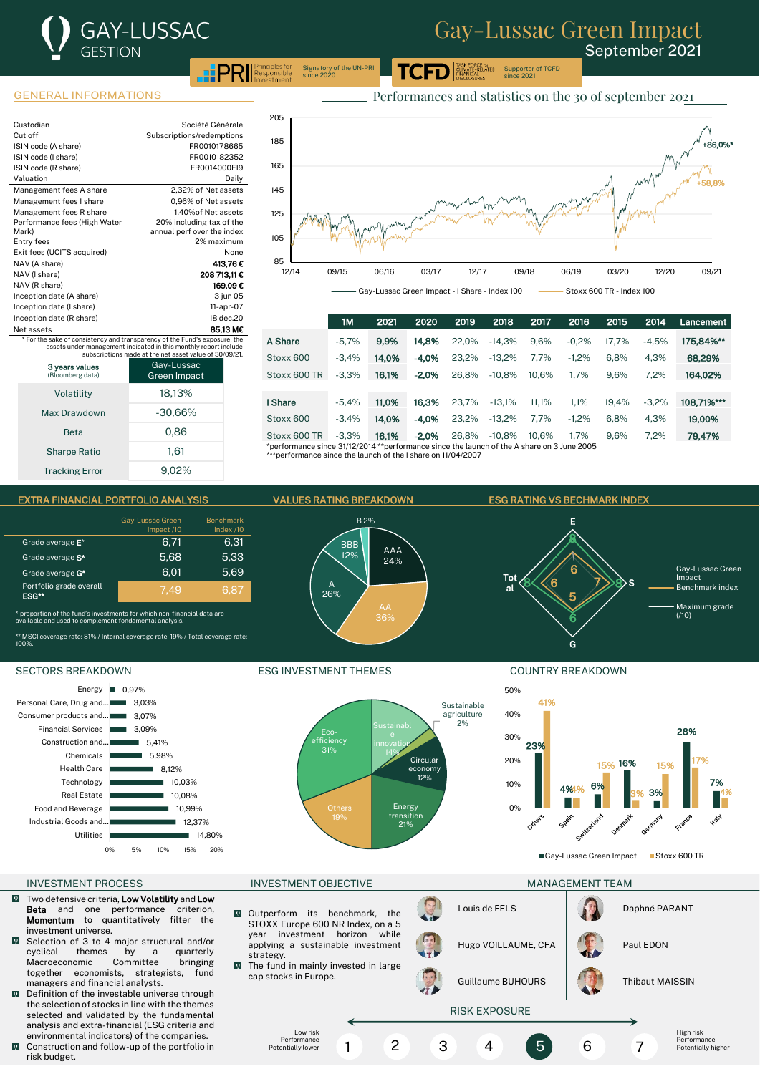## GAY-LUSSAC **GESTION**  $P$ <sup> $\text{PR}$ </sup>  $\text{Resposing for } P$

# Gay-Lussac Green Impact

Supporter of TCFD since 2021

September 2021

Signatory of the UN-PRI since 2020

| Custodian                    | Société Générale           |
|------------------------------|----------------------------|
| Cut off                      | Subscriptions/redemptions  |
| ISIN code (A share)          | FR0010178665               |
| ISIN code (I share)          | FR0010182352               |
| ISIN code (R share)          | FR0014000EI9               |
| Valuation                    | Dailv                      |
| Management fees A share      | 2.32% of Net assets        |
| Management fees I share      | 0.96% of Net assets        |
| Management fees R share      | 1.40% of Net assets        |
| Performance fees (High Water | 20% including tax of the   |
| Mark)                        | annual perf over the index |
| Entry fees                   | 2% maximum                 |
| Exit fees (UCITS acquired)   | None                       |
| NAV (A share)                | 413.76€                    |
| NAV (I share)                | 208 713.11€                |
| NAV (R share)                | 169.09€                    |
| Inception date (A share)     | 3 jun 05                   |
| Inception date (I share)     | 11-apr-07                  |
| Inception date (R share)     | 18 dec.20                  |
| Net assets                   | 85.13 M€                   |

Net assets<br>\* For the sake of consistency and transparency of the Fund's exposure, the<br>assets under management indicated in this monthly report include<br>subscriptions made at the net asset value of 30/09/21.

3 years values (Bloomberg data) Gay-Lussac Green Impact

| Volatility            | 18,13%    |
|-----------------------|-----------|
| Max Drawdown          | $-30,66%$ |
| <b>Beta</b>           | 0,86      |
| <b>Sharpe Ratio</b>   | 1,61      |
| <b>Tracking Error</b> | 9.02%     |



1M 2021 2020 2019 2018 2017 2016 2015 2014 Lancement **A Share -5,7% 9,9% 14,8%** 22,0% -14,3% 9,6% -0,2% 17,7% -4,5% **175,84%\*\*** Stoxx 600 -3,4% **14,0% -4,0%** 23,2% -13,2% -1,2% 6,8% 4,3% **68,29%** Stoxx 600 TR -3,3% 16,1% -2,0% 26,8% -10,8% 10,6% 1,7% 9,6% 7,2% 164,02% **I Share -5,4% 11,0% 16,3%** 23,7% -13,1% 11,1% 1,1% 19,4% -3,2% **108,71%\*\*\*** Stoxx 600 -3,4% 14,0% -4,0% 23,2% -13,2% 7,7% -1,2% 6,8% 4,3% 19,00% Stoxx 600 TR -3,3% **16,1% -2,0%** 26,8% -10,8% 10,6% 1,7% 9,6% 7,2% **79,47%**<br>\*performance since 31/12/2014 \*\*performance since the launch of the A share on 3 June 2005<br>\*\*\*performanc





### INVESTMENT PROCESS INVESTMENT OBJECTIVE MANAGEMENT TEAM

- Two defensive criteria, **Low Volatility** and Low<br> **Beta** and one performance criterion.  $\sqrt{2}$ Beta and one performance Momentum to quantitatively filter the investment universe.
- Selection of 3 to 4 major structural and/or<br>cyclical themes by a quarterly  $\ddot{\mathbf{0}}$ by a quarterly<br>Committee bringing Macroeconomic Committee bringing<br>together economists strategists fund together economists, strategists, managers and financial analysts.
- Definition of the investable universe through  $\overline{0}$ the selection of stocks in line with the themes selected and validated by the fundamental analysis and extra-financial (ESG criteria and environmental indicators) of the companies.
- **Q** Construction and follow-up of the portfolio in risk budget.

### SECTORS BREAKDOWN **ESG INVESTMENT THEMES** COUNTRY BREAKDOWN





Gay-Lussac Green Impact Groxx 600 TR

- Outperform its benchmark, the  $\mathbf{Q}$ STOXX Europe 600 NR Index, on a 5<br>year investment horizon while investment horizon while applying a sustainable investment strategy.  $\mathbf{Q}$
- The fund in mainly invested in large cap stocks in Europe.

Low risk **Performance** Potentially lower Louis de FELS **Daphné PARANT** 

1 2 3 4 5 6 7



High risk **Performance** Potentially higher